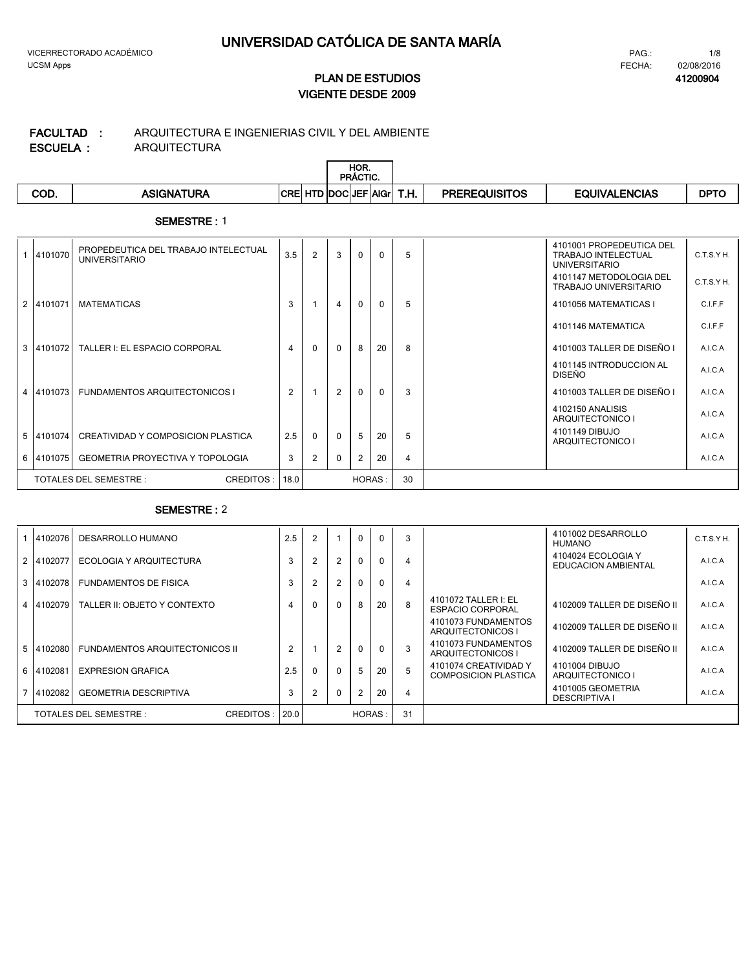**41200904**

# **VIGENTE DESDE 2009 PLAN DE ESTUDIOS**

#### ARQUITECTURA ARQUITECTURA E INGENIERIAS CIVIL Y DEL AMBIENTE **ESCUELA : FACULTAD :**

|      |                   |                            | HOR.<br><b>PRACTIC.</b> |      |                      |                      |             |
|------|-------------------|----------------------------|-------------------------|------|----------------------|----------------------|-------------|
| COD. | <b>ASIGNATURA</b> | <b>CRE HTD DOCUEF AGIL</b> |                         | T.H. | <b>PREREQUISITOS</b> | <b>EQUIVALENCIAS</b> | <b>DPTC</b> |

### **SEMESTRE :** 1

|   | 4101070   | PROPEDEUTICA DEL TRABAJO INTELECTUAL<br><b>UNIVERSITARIO</b> | 3.5            | 2        | 3              | $\Omega$       | $\Omega$ | 5              | 4101001 PROPEDEUTICA DEL<br><b>TRABAJO INTELECTUAL</b><br><b>UNIVERSITARIO</b> | C.T.S.Y H. |
|---|-----------|--------------------------------------------------------------|----------------|----------|----------------|----------------|----------|----------------|--------------------------------------------------------------------------------|------------|
|   |           |                                                              |                |          |                |                |          |                | 4101147 METODOLOGIA DEL<br>TRABAJO UNIVERSITARIO                               | C.T.S.YH.  |
| 2 | 4101071   | <b>MATEMATICAS</b>                                           | 3              |          | $\overline{4}$ | $\Omega$       | $\Omega$ | 5              | 4101056 MATEMATICAS I                                                          | C.I.F.F    |
|   |           |                                                              |                |          |                |                |          |                | 4101146 MATEMATICA                                                             | C.I.F.F    |
| 3 | 4101072   | TALLER I: EL ESPACIO CORPORAL                                | 4              | $\Omega$ | $\Omega$       | 8              | 20       | 8              | 4101003 TALLER DE DISEÑO I                                                     | A.I.C.A    |
|   |           |                                                              |                |          |                |                |          |                | 4101145 INTRODUCCION AL<br><b>DISEÑO</b>                                       | A.I.C.A    |
|   | 4 4101073 | <b>FUNDAMENTOS ARQUITECTONICOS I</b>                         | $\overline{2}$ |          | $\overline{2}$ | $\Omega$       | $\Omega$ | 3              | 4101003 TALLER DE DISEÑO I                                                     | A.I.C.A    |
|   |           |                                                              |                |          |                |                |          |                | 4102150 ANALISIS<br>ARQUITECTONICO I                                           | A.I.C.A    |
|   | 5 4101074 | CREATIVIDAD Y COMPOSICION PLASTICA                           | 2.5            | $\Omega$ | $\Omega$       | -5             | 20       | 5              | 4101149 DIBUJO<br>ARQUITECTONICO I                                             | A.I.C.A    |
|   | 6 4101075 | <b>GEOMETRIA PROYECTIVA Y TOPOLOGIA</b>                      | 3              |          | $\Omega$       | $\overline{2}$ | 20       | $\overline{4}$ |                                                                                | A.I.C.A    |
|   |           | CREDITOS:<br>TOTALES DEL SEMESTRE :                          | 18.0           |          |                | HORAS:         |          | 30             |                                                                                |            |

| 4102076   | DESARROLLO HUMANO                     | 2.5            |          |                | $\Omega$ | $\Omega$     | 3              |                                                      | 4101002 DESARROLLO<br>HUMANO                     | C.T.S.Y H. |
|-----------|---------------------------------------|----------------|----------|----------------|----------|--------------|----------------|------------------------------------------------------|--------------------------------------------------|------------|
| 2 4102077 | ECOLOGIA Y ARQUITECTURA               | 3              |          | $\overline{2}$ | $\Omega$ | $\mathbf{0}$ | 4              |                                                      | 4104024 ECOLOGIA Y<br><b>EDUCACION AMBIENTAL</b> | A.I.C.A    |
| 3 4102078 | <b>FUNDAMENTOS DE FISICA</b>          | 3              |          | $\overline{2}$ | 0        | $\mathbf{0}$ | 4              |                                                      |                                                  | A.I.C.A    |
| 4 4102079 | TALLER II: OBJETO Y CONTEXTO          | 4              | $\Omega$ | $\Omega$       | 8        | 20           | 8              | 4101072 TALLER I: EL<br><b>ESPACIO CORPORAL</b>      | 4102009 TALLER DE DISEÑO II                      | A.I.C.A    |
|           |                                       |                |          |                |          |              |                | 4101073 FUNDAMENTOS<br>ARQUITECTONICOS I             | 4102009 TALLER DE DISEÑO II                      | A.I.C.A    |
| 5 4102080 | <b>FUNDAMENTOS ARQUITECTONICOS II</b> | $\overline{2}$ |          | 2              | $\Omega$ | $\mathbf{0}$ | 3              | 4101073 FUNDAMENTOS<br>ARQUITECTONICOS I             | 4102009 TALLER DE DISEÑO II                      | A.I.C.A    |
| 6 4102081 | <b>EXPRESION GRAFICA</b>              | 2.5            |          | $\Omega$       |          | 20           | 5              | 4101074 CREATIVIDAD Y<br><b>COMPOSICION PLASTICA</b> | 4101004 DIBUJO<br>ARQUITECTONICO I               | A.I.C.A    |
| 7 4102082 | <b>GEOMETRIA DESCRIPTIVA</b>          | 3              |          | $\Omega$       |          | 20           | $\overline{4}$ |                                                      | 4101005 GEOMETRIA<br><b>DESCRIPTIVA I</b>        | A.I.C.A    |
|           | CREDITOS:<br>TOTALES DEL SEMESTRE :   | 20.0           |          |                |          | HORAS:       | 31             |                                                      |                                                  |            |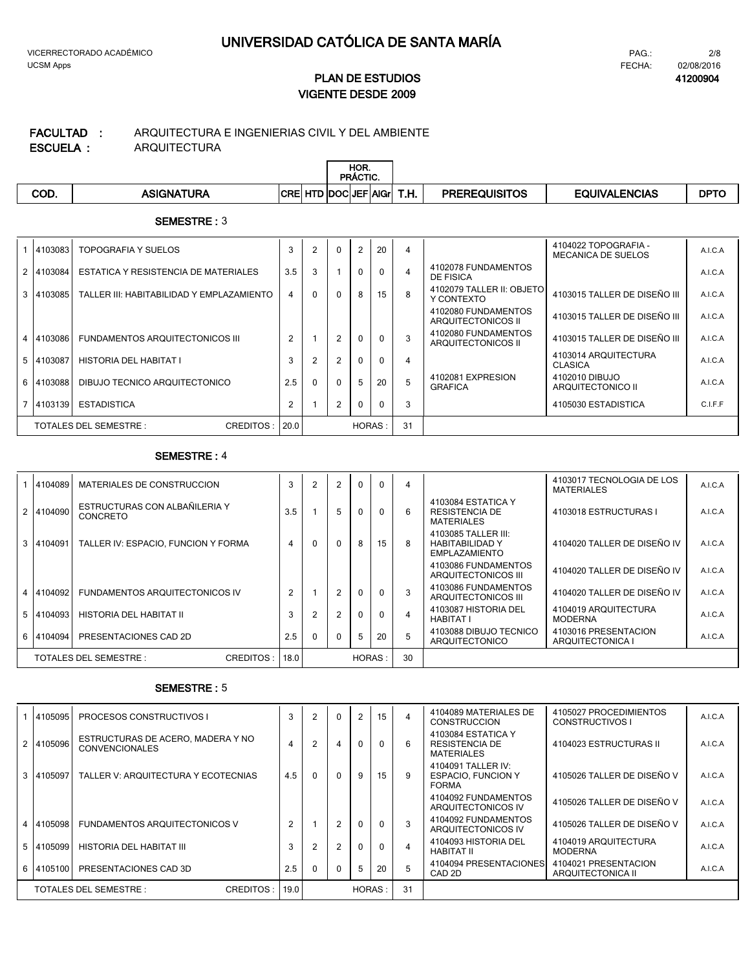**41200904**

# **VIGENTE DESDE 2009 PLAN DE ESTUDIOS**

#### ARQUITECTURA ARQUITECTURA E INGENIERIAS CIVIL Y DEL AMBIENTE **ESCUELA : FACULTAD :**

|      |                   |            |                    | HOR.<br><b>PRÁCTIC.</b> |      |                      |                      |             |
|------|-------------------|------------|--------------------|-------------------------|------|----------------------|----------------------|-------------|
| COD. | <b>ASIGNATURA</b> | <b>CRE</b> | HTD DOCLJEF AIGrl! |                         | T.H. | <b>PREREQUISITOS</b> | <b>EQUIVALENCIAS</b> | <b>DPTC</b> |

### **SEMESTRE :** 3

| 4103083   | TOPOGRAFIA Y SUELOS                       | 3    |   | $\mathbf{0}$   | 2            | 20       | 4              |                                           | 4104022 TOPOGRAFIA -<br><b>MECANICA DE SUELOS</b> | A.I.C.A |
|-----------|-------------------------------------------|------|---|----------------|--------------|----------|----------------|-------------------------------------------|---------------------------------------------------|---------|
| 2 4103084 | ESTATICA Y RESISTENCIA DE MATERIALES      | 3.5  | 3 |                | $\mathbf{0}$ | 0        | $\overline{4}$ | 4102078 FUNDAMENTOS<br>DE FISICA          |                                                   | A.I.C.A |
| 3 4103085 | TALLER III: HABITABILIDAD Y EMPLAZAMIENTO | 4    |   | $\Omega$       | 8            | 15       | 8              | 4102079 TALLER II: OBJETO<br>Y CONTEXTO   | 4103015 TALLER DE DISEÑO III                      | A.I.C.A |
|           |                                           |      |   |                |              |          |                | 4102080 FUNDAMENTOS<br>ARQUITECTONICOS II | 4103015 TALLER DE DISEÑO III                      | A.I.C.A |
| 4 4103086 | FUNDAMENTOS ARQUITECTONICOS III           | 2    |   | 2              | $\Omega$     | $\Omega$ | 3              | 4102080 FUNDAMENTOS<br>ARQUITECTONICOS II | 4103015 TALLER DE DISEÑO III                      | A.I.C.A |
| 5 4103087 | HISTORIA DEL HABITAT I                    | 3    |   | $\overline{2}$ | $\Omega$     | $\Omega$ | 4              |                                           | 4103014 ARQUITECTURA<br>CLASICA                   | A.I.C.A |
| 6 4103088 | DIBUJO TECNICO ARQUITECTONICO             | 2.5  |   | $\Omega$       | 5            | 20       | 5              | 4102081 EXPRESION<br><b>GRAFICA</b>       | 4102010 DIBUJO<br>ARQUITECTONICO II               | A.I.C.A |
| 7 4103139 | <b>ESTADISTICA</b>                        | 2    |   | 2              | $\mathbf{0}$ | $\Omega$ | 3              |                                           | 4105030 ESTADISTICA                               | C.I.F.F |
|           | CREDITOS:<br>TOTALES DEL SEMESTRE :       | 20.0 |   |                | HORAS:       |          | 31             |                                           |                                                   |         |

### **SEMESTRE :** 4

|   | 4104089   | MATERIALES DE CONSTRUCCION                       | 3              | $\overline{2}$ | $\overline{2}$ | $\mathbf{0}$ | $\mathbf{0}$ | 4  |                                                                       | 4103017 TECNOLOGIA DE LOS<br><b>MATERIALES</b> | A.I.C.A |
|---|-----------|--------------------------------------------------|----------------|----------------|----------------|--------------|--------------|----|-----------------------------------------------------------------------|------------------------------------------------|---------|
|   | 4104090   | ESTRUCTURAS CON ALBAÑILERIA Y<br><b>CONCRETO</b> | 3.5            |                | 5              | $\mathbf{0}$ | $\Omega$     | 6  | 4103084 ESTATICA Y<br>RESISTENCIA DE<br>MATERIALES                    | 4103018 ESTRUCTURAS I                          | A.I.C.A |
| 3 | 4104091   | TALLER IV: ESPACIO, FUNCION Y FORMA              | 4              | $\mathbf{0}$   | $\mathbf{0}$   | 8            | 15           | 8  | 4103085 TALLER III:<br><b>HABITABILIDAD Y</b><br><b>EMPLAZAMIENTO</b> | 4104020 TALLER DE DISEÑO IV                    | A.I.C.A |
|   |           |                                                  |                |                |                |              |              |    | 4103086 FUNDAMENTOS<br>ARQUITECTONICOS III                            | 4104020 TALLER DE DISEÑO IV                    | A.I.C.A |
|   | 4104092   | FUNDAMENTOS ARQUITECTONICOS IV                   | $\overline{2}$ |                | $\overline{2}$ | $\Omega$     | $\Omega$     | 3  | 4103086 FUNDAMENTOS<br>ARQUITECTONICOS III                            | 4104020 TALLER DE DISEÑO IV                    | A.I.C.A |
|   | 5 4104093 | HISTORIA DEL HABITAT II                          | 3              |                | 2              | $\Omega$     | $\Omega$     | 4  | 4103087 HISTORIA DEL<br><b>HABITAT I</b>                              | 4104019 ARQUITECTURA<br><b>MODERNA</b>         | A.I.C.A |
| 6 | 4104094   | PRESENTACIONES CAD 2D                            | 2.5            | 0              | $\mathbf{0}$   | 5            | 20           | 5  | 4103088 DIBUJO TECNICO<br>ARQUITECTONICO                              | 4103016 PRESENTACION<br>ARQUITECTONICA I       | A.I.C.A |
|   |           | TOTALES DEL SEMESTRE :<br>CREDITOS:              | 18.0           |                |                | HORAS:       |              | 30 |                                                                       |                                                |         |

| 4105095   | <b>PROCESOS CONSTRUCTIVOS I</b>                            | 3              |          | $\Omega$       | $\overline{2}$ | 15           | $\overline{4}$ | 4104089 MATERIALES DE<br>CONSTRUCCION                            | 4105027 PROCEDIMIENTOS<br>CONSTRUCTIVOS I | A.I.C.A |
|-----------|------------------------------------------------------------|----------------|----------|----------------|----------------|--------------|----------------|------------------------------------------------------------------|-------------------------------------------|---------|
| 2 4105096 | ESTRUCTURAS DE ACERO, MADERA Y NO<br><b>CONVENCIONALES</b> | 4              | 2        | 4              | $\Omega$       | $\Omega$     | 6              | 4103084 ESTATICA Y<br><b>RESISTENCIA DE</b><br><b>MATERIALES</b> | 4104023 ESTRUCTURAS II                    | A.I.C.A |
| 3 4105097 | TALLER V: ARQUITECTURA Y ECOTECNIAS                        | 4.5            | $\Omega$ | $\mathbf{0}$   | 9              | 15           | 9              | 4104091 TALLER IV:<br><b>ESPACIO, FUNCION Y</b><br><b>FORMA</b>  | 4105026 TALLER DE DISEÑO V                | A.I.C.A |
|           |                                                            |                |          |                |                |              |                | 4104092 FUNDAMENTOS<br>ARQUITECTONICOS IV                        | 4105026 TALLER DE DISEÑO V                | A.I.C.A |
| 4 4105098 | <b>FUNDAMENTOS ARQUITECTONICOS V</b>                       | $\overline{2}$ |          | $\overline{2}$ |                | $\mathbf{0}$ | 3              | 4104092 FUNDAMENTOS<br>ARQUITECTONICOS IV                        | 4105026 TALLER DE DISEÑO V                | A.I.C.A |
| 5 4105099 | HISTORIA DEL HABITAT III                                   | 3              |          | 2              | 0              | $\mathbf{0}$ | $\overline{4}$ | 4104093 HISTORIA DEL<br>HABITAT II                               | 4104019 ARQUITECTURA<br><b>MODERNA</b>    | A.I.C.A |
| 6 4105100 | PRESENTACIONES CAD 3D                                      | 2.5            |          | $\Omega$       | 5              | 20           | 5              | 4104094 PRESENTACIONES<br>CAD 2D                                 | 4104021 PRESENTACION<br>ARQUITECTONICA II | A.I.C.A |
|           | TOTALES DEL SEMESTRE :<br>CREDITOS:                        | 19.0           |          |                | HORAS:         |              | 31             |                                                                  |                                           |         |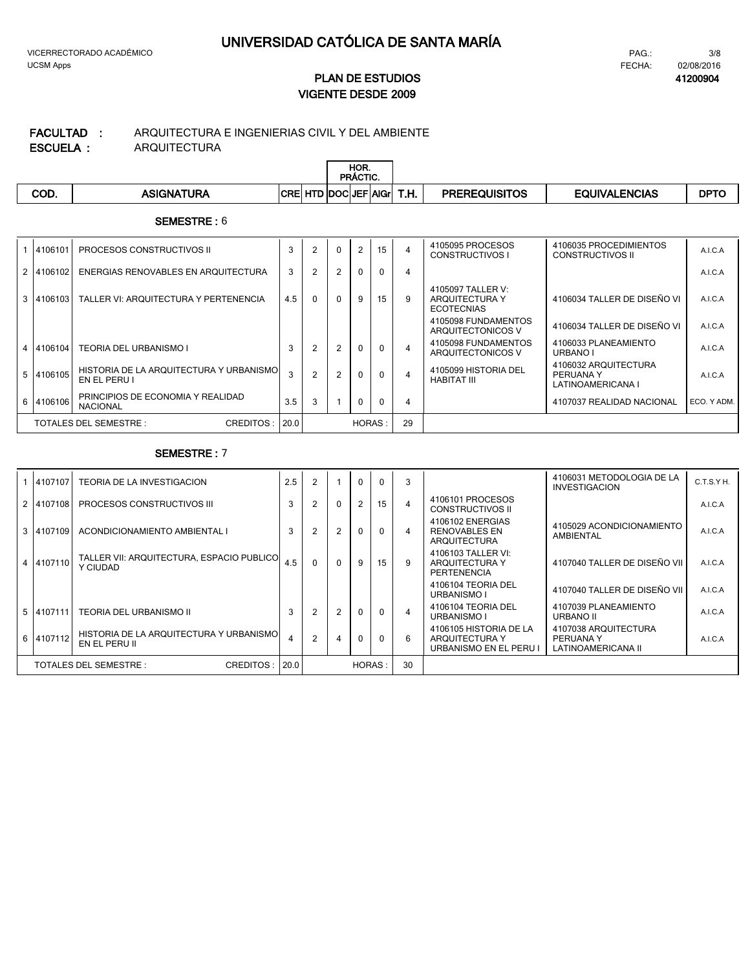#### ARQUITECTURA E INGENIERIAS CIVIL Y DEL AMBIENTE **FACULTAD :**

**ESCUELA :**

ARQUITECTURA

|      |                   |                          |   |                     | HOR.<br><b>PRACTIC.</b> |             |                      |                      |             |
|------|-------------------|--------------------------|---|---------------------|-------------------------|-------------|----------------------|----------------------|-------------|
| COD. | <b>ASIGNATURA</b> | <b>CDI</b><br><b>UND</b> | œ | TD  DOC  JEF   AIGr |                         | T U<br>ı.п. | <b>PREREQUISITOS</b> | <b>EQUIVALENCIAS</b> | <b>DPTC</b> |

### **SEMESTRE :** 6

| 4106101   | <b>PROCESOS CONSTRUCTIVOS II</b>                        | 3    | 2        | $\Omega$ |          | 15       | $\overline{4}$ | 4105095 PROCESOS<br>CONSTRUCTIVOS I                      | 4106035 PROCEDIMIENTOS<br>CONSTRUCTIVOS II             | A.I.C.A     |
|-----------|---------------------------------------------------------|------|----------|----------|----------|----------|----------------|----------------------------------------------------------|--------------------------------------------------------|-------------|
| 2 4106102 | ENERGIAS RENOVABLES EN ARQUITECTURA                     | 3    |          | 2        | $\Omega$ | $\Omega$ | $\overline{4}$ |                                                          |                                                        | A.I.C.A     |
| 3 4106103 | TALLER VI: ARQUITECTURA Y PERTENENCIA                   | 4.5  | $\Omega$ | $\Omega$ | 9        | 15       | 9              | 4105097 TALLER V:<br>ARQUITECTURA Y<br><b>ECOTECNIAS</b> | 4106034 TALLER DE DISEÑO VI                            | A.I.C.A     |
|           |                                                         |      |          |          |          |          |                | 4105098 FUNDAMENTOS<br>ARQUITECTONICOS V                 | 4106034 TALLER DE DISEÑO VI                            | A.I.C.A     |
| 4 4106104 | <b>TEORIA DEL URBANISMO I</b>                           | 3    |          | 2        | $\Omega$ | $\Omega$ | $\overline{4}$ | 4105098 FUNDAMENTOS<br>ARQUITECTONICOS V                 | 4106033 PLANEAMIENTO<br>URBANO I                       | A.I.C.A     |
| 5 4106105 | HISTORIA DE LA ARQUITECTURA Y URBANISMO<br>EN EL PERU I | 3    | 2        | 2        | $\Omega$ | $\Omega$ | $\overline{4}$ | 4105099 HISTORIA DEL<br>HABITAT III                      | 4106032 ARQUITECTURA<br>PERUANA Y<br>LATINOAMERICANA I | A.I.C.A     |
| 6 4106106 | PRINCIPIOS DE ECONOMIA Y REALIDAD<br><b>NACIONAL</b>    | 3.5  | 3        |          | $\Omega$ | $\Omega$ | $\overline{4}$ |                                                          | 4107037 REALIDAD NACIONAL                              | ECO. Y ADM. |
|           | CREDITOS:<br>TOTALES DEL SEMESTRE :                     | 20.0 |          |          | HORAS:   |          | 29             |                                                          |                                                        |             |

| 4107107   | TEORIA DE LA INVESTIGACION                               | 2.5 | $\overline{2}$ |          | $\Omega$       | $\Omega$ | 3  |                                                                    | 4106031 METODOLOGIA DE LA<br><b>INVESTIGACION</b>       | C.T.S.YH. |
|-----------|----------------------------------------------------------|-----|----------------|----------|----------------|----------|----|--------------------------------------------------------------------|---------------------------------------------------------|-----------|
| 2 4107108 | PROCESOS CONSTRUCTIVOS III                               | 3   | $\overline{2}$ | $\Omega$ | $\overline{2}$ | 15       |    | 4106101 PROCESOS<br><b>CONSTRUCTIVOS II</b>                        |                                                         | A.I.C.A   |
| 3 4107109 | ACONDICIONAMIENTO AMBIENTAL I                            | 3   | $\overline{2}$ | 2        | $\Omega$       | $\Omega$ | 4  | 4106102 ENERGIAS<br><b>RENOVABLES EN</b><br><b>ARQUITECTURA</b>    | 4105029 ACONDICIONAMIENTO<br>AMBIENTAL                  | A.I.C.A   |
| 4107110   | TALLER VII: ARQUITECTURA, ESPACIO PUBLICO<br>Y CIUDAD    | 4.5 | $\Omega$       | $\Omega$ | 9              | 15       | 9  | 4106103 TALLER VI:<br>ARQUITECTURA Y<br>PERTENENCIA                | 4107040 TALLER DE DISEÑO VII I                          | A.I.C.A   |
|           |                                                          |     |                |          |                |          |    | 4106104 TEORIA DEL<br>URBANISMO I                                  | 4107040 TALLER DE DISEÑO VII I                          | A.I.C.A   |
| 5 4107111 | TEORIA DEL URBANISMO II                                  | 3   | 2              | 2        | $\mathbf{0}$   | $\Omega$ | 4  | 4106104 TEORIA DEL<br>URBANISMO I                                  | 4107039 PLANEAMIENTO<br><b>URBANO II</b>                | A.I.C.A   |
| 6 4107112 | HISTORIA DE LA ARQUITECTURA Y URBANISMO<br>EN EL PERU II |     | 2              | 4        | $\mathbf{0}$   | $\Omega$ | 6  | 4106105 HISTORIA DE LA<br>ARQUITECTURA Y<br>URBANISMO EN EL PERU I | 4107038 ARQUITECTURA<br>PERUANA Y<br>LATINOAMERICANA II | A.I.C.A   |
|           | TOTALES DEL SEMESTRE :<br>CREDITOS:                      |     |                |          | HORAS:         |          | 30 |                                                                    |                                                         |           |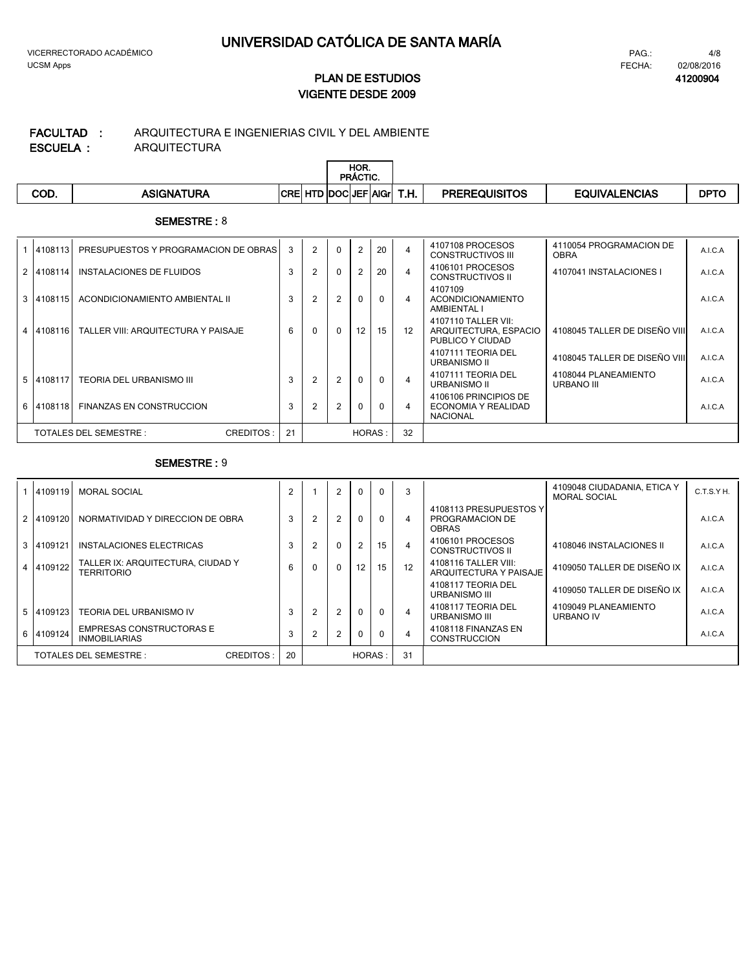#### ARQUITECTURA ARQUITECTURA E INGENIERIAS CIVIL Y DEL AMBIENTE **ESCUELA : FACULTAD :**

|      |                   |                            |  | HOR.<br><b>PRACTIC.</b> |      |                      |                      |             |
|------|-------------------|----------------------------|--|-------------------------|------|----------------------|----------------------|-------------|
| COD. | <b>ASIGNATURA</b> | <b>CRE HTD DOCUEF AGIL</b> |  |                         | T.H. | <b>PREREQUISITOS</b> | <b>EQUIVALENCIAS</b> | <b>DPTC</b> |

### **SEMESTRE :** 8

|   | 4108113   | PRESUPUESTOS Y PROGRAMACION DE OBRAS | 3  | 2 | $\Omega$     | $\overline{2}$ | 20       | $\overline{4}$ | 4107108 PROCESOS<br>CONSTRUCTIVOS III                            | 4110054 PROGRAMACION DE<br><b>OBRA</b> | A.I.C.A |
|---|-----------|--------------------------------------|----|---|--------------|----------------|----------|----------------|------------------------------------------------------------------|----------------------------------------|---------|
|   | 2 4108114 | INSTALACIONES DE FLUIDOS             | 3  |   | $\mathbf{0}$ |                | 20       | $\overline{4}$ | 4106101 PROCESOS<br>CONSTRUCTIVOS II                             | 4107041 INSTALACIONES I                | A.I.C.A |
| 3 | 4108115   | ACONDICIONAMIENTO AMBIENTAL II       | 3  |   | 2            | $\mathbf{0}$   | $\Omega$ | 4              | 4107109<br><b>ACONDICIONAMIENTO</b><br>AMBIENTAL I               |                                        | A.I.C.A |
|   | 4 4108116 | TALLER VIII: ARQUITECTURA Y PAISAJE  | 6  |   | $\Omega$     | 12             | 15       | 12             | 4107110 TALLER VII:<br>ARQUITECTURA, ESPACIO<br>PUBLICO Y CIUDAD | 4108045 TALLER DE DISEÑO VIII          | A.I.C.A |
|   |           |                                      |    |   |              |                |          |                | 4107111 TEORIA DEL<br><b>URBANISMO II</b>                        | 4108045 TALLER DE DISEÑO VIII          | A.I.C.A |
| 5 | 4108117   | TEORIA DEL URBANISMO III             | 3  |   | 2            | $\Omega$       |          | $\overline{4}$ | 4107111 TEORIA DEL<br><b>URBANISMO II</b>                        | 4108044 PLANEAMIENTO<br>URBANO III     | A.I.C.A |
| 6 | 4108118   | <b>FINANZAS EN CONSTRUCCION</b>      | 3  |   | 2            | $\Omega$       | $\Omega$ | 4              | 4106106 PRINCIPIOS DE<br>ECONOMIA Y REALIDAD<br><b>NACIONAL</b>  |                                        | A.I.C.A |
|   |           | CREDITOS:<br>TOTALES DEL SEMESTRE :  | 21 |   |              | HORAS:         |          | 32             |                                                                  |                                        |         |

| 6 4109124 | <b>INMOBILIARIAS</b><br><b>TOTALES DEL SEMESTRE:</b><br><b>CREDITOS:</b> | 3<br>20        |                | 2        | 0<br>HORAS:    |                  | 4<br>31        | <b>CONSTRUCCION</b>                                        |                                                    | A.I.C.A    |
|-----------|--------------------------------------------------------------------------|----------------|----------------|----------|----------------|------------------|----------------|------------------------------------------------------------|----------------------------------------------------|------------|
| 5 4109123 | TEORIA DEL URBANISMO IV<br><b>EMPRESAS CONSTRUCTORAS E</b>               | 3              | $\overline{2}$ | 2        | $\Omega$       | $\Omega$         | $\overline{4}$ | 4108117 TEORIA DEL<br>URBANISMO III<br>4108118 FINANZAS EN | 4109049 PLANEAMIENTO<br><b>URBANO IV</b>           | A.I.C.A    |
|           |                                                                          |                |                |          |                |                  |                | 4108117 TEORIA DEL<br><b>URBANISMO III</b>                 | 4109050 TALLER DE DISEÑO IX                        | A.I.C.A    |
| 4 4109122 | TALLER IX: ARQUITECTURA, CIUDAD Y<br><b>TERRITORIO</b>                   | 6              |                | $\Omega$ | 12             | 15 <sup>15</sup> | 12             | 4108116 TALLER VIII:<br>ARQUITECTURA Y PAISAJE             | 4109050 TALLER DE DISEÑO IX                        | A.I.C.A    |
| 3 4109121 | INSTALACIONES ELECTRICAS                                                 | 3              |                | $\Omega$ | $\overline{2}$ | 15               | $\overline{4}$ | 4106101 PROCESOS<br><b>CONSTRUCTIVOS II</b>                | 4108046 INSTALACIONES II                           | A.I.C.A    |
| 2 4109120 | NORMATIVIDAD Y DIRECCION DE OBRA                                         | 3              | 2              | 2        | $\mathbf{0}$   |                  | 4              | 4108113 PRESUPUESTOS Y<br>PROGRAMACION DE<br><b>OBRAS</b>  |                                                    | A.I.C.A    |
| 4109119   | <b>MORAL SOCIAL</b>                                                      | $\overline{2}$ |                | 2        | $\mathbf{0}$   | $\Omega$         | 3              |                                                            | 4109048 CIUDADANIA, ETICA Y<br><b>MORAL SOCIAL</b> | C.T.S.Y H. |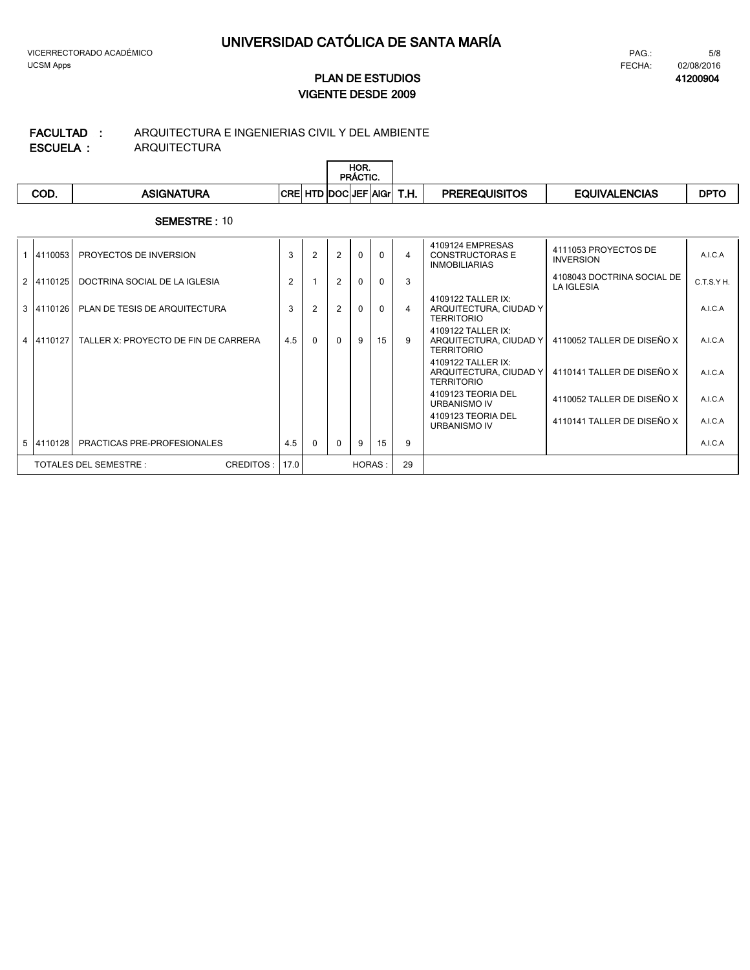#### ARQUITECTURA ARQUITECTURA E INGENIERIAS CIVIL Y DEL AMBIENTE **ESCUELA : FACULTAD :**

| -------- | . <b>. . . .</b> . <b>.</b> |                               |  |                  |      |                      |                      |             |
|----------|-----------------------------|-------------------------------|--|------------------|------|----------------------|----------------------|-------------|
|          |                             |                               |  | HOR.<br>PRACTIC. |      |                      |                      |             |
| COD.     | ASIGNATURA                  | <b>CRE HTD DOCLEF AGILITY</b> |  |                  | T.H. | <b>PREREQUISITOS</b> | <b>EQUIVALENCIAS</b> | <b>DPTO</b> |

| 4110053                | PROYECTOS DE INVERSION               | 3      | 2              | 2        | $\Omega$ | $\Omega$ | $\overline{4}$ | 4109124 EMPRESAS<br><b>CONSTRUCTORAS E</b><br><b>INMOBILIARIAS</b> | 4111053 PROYECTOS DE<br><b>INVERSION</b> | A.I.C.A   |
|------------------------|--------------------------------------|--------|----------------|----------|----------|----------|----------------|--------------------------------------------------------------------|------------------------------------------|-----------|
| 2 4110125              | DOCTRINA SOCIAL DE LA IGLESIA        | 2      |                | 2        | $\Omega$ | $\Omega$ | 3              |                                                                    | 4108043 DOCTRINA SOCIAL DE<br>LA IGLESIA | C.T.S.YH. |
| 3 4110126              | PLAN DE TESIS DE ARQUITECTURA        | 3      | $\overline{2}$ | 2        | $\Omega$ | $\Omega$ | $\overline{4}$ | 4109122 TALLER IX:<br>ARQUITECTURA, CIUDAD Y<br><b>TERRITORIO</b>  |                                          | A.I.C.A   |
| 4 4110127              | TALLER X: PROYECTO DE FIN DE CARRERA | 4.5    | $\Omega$       | $\Omega$ | 9        | 15       | 9              | 4109122 TALLER IX:<br>ARQUITECTURA, CIUDAD Y<br><b>TERRITORIO</b>  | 4110052 TALLER DE DISEÑO X               | A.I.C.A   |
|                        |                                      |        |                |          |          |          |                | 4109122 TALLER IX:<br>ARQUITECTURA, CIUDAD Y<br><b>TERRITORIO</b>  | 4110141 TALLER DE DISEÑO X               | A.I.C.A   |
|                        |                                      |        |                |          |          |          |                | 4109123 TEORIA DEL<br>URBANISMO IV                                 | 4110052 TALLER DE DISEÑO X               | A.I.C.A   |
|                        |                                      |        |                |          |          |          |                | 4109123 TEORIA DEL<br>URBANISMO IV                                 | 4110141 TALLER DE DISEÑO X               | A.I.C.A   |
| 5 4110128              | PRACTICAS PRE-PROFESIONALES          | 4.5    | $\Omega$       | $\Omega$ | 9        | 15       | 9              |                                                                    |                                          | A.I.C.A   |
| TOTALES DEL SEMESTRE : | CREDITOS:<br>17.0                    | HORAS: |                |          |          | 29       |                |                                                                    |                                          |           |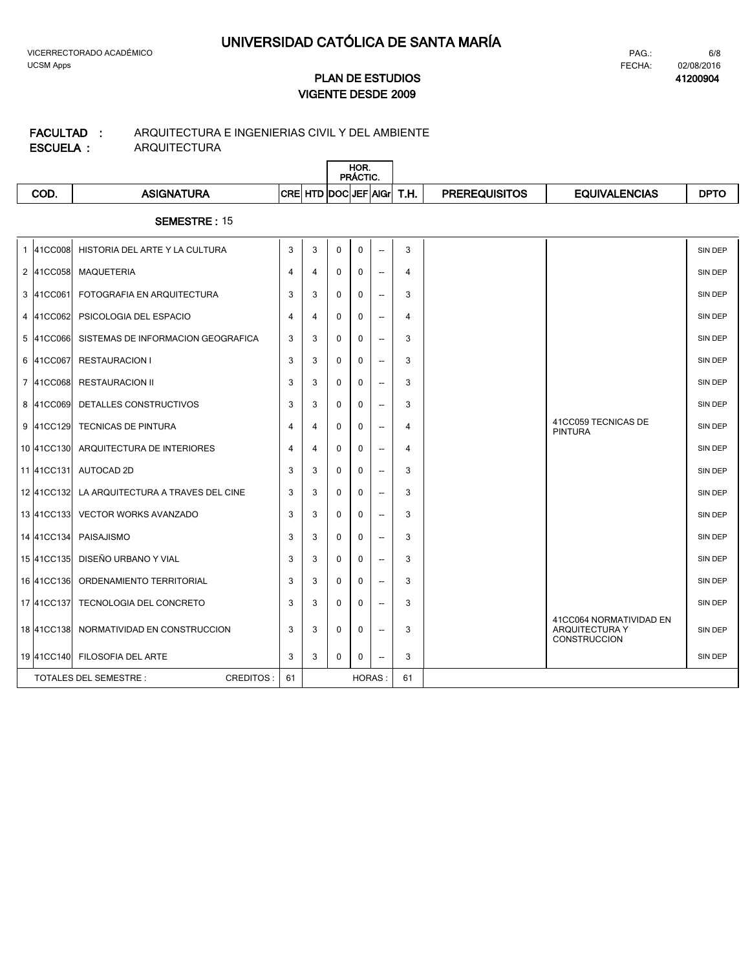# ARQUITECTURA E INGENIERIAS CIVIL Y DEL AMBIENTE **FACULTAD :**

**ESCUELA :**

 $\overline{\mathbb{L}}$ 

ARQUITECTURA

|      |                   |                        | HOR.<br>PRACTIC. |             |      |                      |               |             |
|------|-------------------|------------------------|------------------|-------------|------|----------------------|---------------|-------------|
| COD. | <b>ASIGNATURA</b> | <b>CRE HTD DOCUEF!</b> |                  | <b>AIGr</b> | T.H. | <b>PREREQUISITOS</b> | EQUIVALENCIAS | <b>DPTC</b> |

|                                            | 1 41CC008  | HISTORIA DEL ARTE Y LA CULTURA     | 3              | 3 | 0           | 0             | $\overline{\phantom{a}}$ | 3  |                                                                         | SIN DEP        |
|--------------------------------------------|------------|------------------------------------|----------------|---|-------------|---------------|--------------------------|----|-------------------------------------------------------------------------|----------------|
|                                            | 2 41CC058  | <b>MAQUETERIA</b>                  | 4              | 4 | 0           | $\mathbf 0$   | $\overline{\phantom{a}}$ | 4  |                                                                         | <b>SIN DEP</b> |
|                                            | 3 41CC061  | FOTOGRAFIA EN ARQUITECTURA         | 3              | 3 | 0           | 0             | $\overline{\phantom{a}}$ | 3  |                                                                         | <b>SIN DEP</b> |
|                                            | 4 41CC062  | PSICOLOGIA DEL ESPACIO             | $\overline{4}$ | 4 | 0           | 0             | $\overline{\phantom{a}}$ | 4  |                                                                         | SIN DEP        |
|                                            | 5 41CC066  | SISTEMAS DE INFORMACION GEOGRAFICA | 3              | 3 | 0           | $\mathbf{0}$  | $\overline{\phantom{a}}$ | 3  |                                                                         | SIN DEP        |
|                                            | 6 41CC067  | <b>RESTAURACION I</b>              | 3              | 3 | $\Omega$    | $\Omega$      | $\overline{\phantom{a}}$ | 3  |                                                                         | <b>SIN DEP</b> |
|                                            | 7 41CC068  | <b>RESTAURACION II</b>             | 3              | 3 | 0           | 0             | $\overline{\phantom{a}}$ | 3  |                                                                         | <b>SIN DEP</b> |
|                                            | 8 41CC069  | DETALLES CONSTRUCTIVOS             | 3              | 3 | 0           | 0             | $\overline{\phantom{a}}$ | 3  |                                                                         | <b>SIN DEP</b> |
|                                            | 9 41CC129  | <b>TECNICAS DE PINTURA</b>         | 4              | 4 | 0           | 0             | $\overline{\phantom{a}}$ | 4  | 41CC059 TECNICAS DE<br><b>PINTURA</b>                                   | <b>SIN DEP</b> |
|                                            | 10 41CC130 | ARQUITECTURA DE INTERIORES         | 4              | 4 | 0           | 0             | $\overline{\phantom{a}}$ | 4  |                                                                         | <b>SIN DEP</b> |
|                                            |            | 11 41CC131 AUTOCAD 2D              | 3              | 3 | 0           | $\mathbf 0$   | --                       | 3  |                                                                         | <b>SIN DEP</b> |
|                                            | 12 41CC132 | LA ARQUITECTURA A TRAVES DEL CINE  | 3              | 3 | 0           | 0             | $\overline{\phantom{a}}$ | 3  |                                                                         | <b>SIN DEP</b> |
|                                            | 13 41CC133 | <b>VECTOR WORKS AVANZADO</b>       | 3              | 3 | 0           | 0             | --                       | 3  |                                                                         | <b>SIN DEP</b> |
|                                            | 14 41CC134 | PAISAJISMO                         | 3              | 3 | 0           | 0             | $\overline{\phantom{a}}$ | 3  |                                                                         | SIN DEP        |
|                                            | 15 41CC135 | DISEÑO URBANO Y VIAL               | 3              | 3 | 0           | 0             | $\overline{\phantom{a}}$ | 3  |                                                                         | SIN DEP        |
|                                            | 16 41CC136 | ORDENAMIENTO TERRITORIAL           | 3              | 3 | 0           | $\mathbf{0}$  | $\overline{\phantom{a}}$ | 3  |                                                                         | SIN DEP        |
|                                            | 17 41CC137 | TECNOLOGIA DEL CONCRETO            | 3              | 3 | 0           | $\Omega$      | $\overline{\phantom{a}}$ | 3  |                                                                         | <b>SIN DEP</b> |
|                                            | 18 41CC138 | NORMATIVIDAD EN CONSTRUCCION       | 3              | 3 | 0           | 0             | $\overline{\phantom{a}}$ | 3  | 41CC064 NORMATIVIDAD EN<br><b>ARQUITECTURA Y</b><br><b>CONSTRUCCION</b> | <b>SIN DEP</b> |
|                                            |            | 19 41CC140 FILOSOFIA DEL ARTE      | 3              | 3 | $\mathbf 0$ | $\mathbf{0}$  | $\overline{\phantom{a}}$ | 3  |                                                                         | SIN DEP        |
| TOTALES DEL SEMESTRE :<br><b>CREDITOS:</b> |            |                                    | 61             |   |             | <b>HORAS:</b> |                          | 61 |                                                                         |                |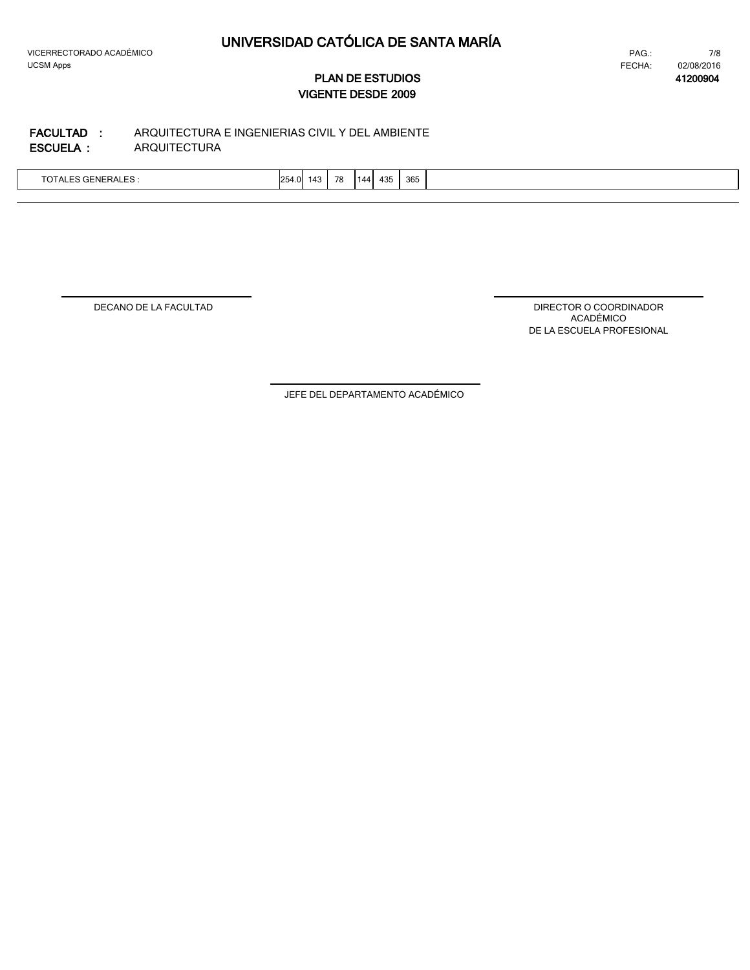$\lfloor$ 

7/8 FECHA: 02/08/2016 PAG.:

**41200904**

# **VIGENTE DESDE 2009 PLAN DE ESTUDIOS**

#### ARQUITECTURA ARQUITECTURA E INGENIERIAS CIVIL Y DEL AMBIENTE **ESCUELA : FACULTAD :**

| $T^{\wedge}$<br>,,,<br>.<br>U<br>∽ …<br>- -<br>-- | 254.0 | -143 | 78 | 144 | 435 | 365 |  |
|---------------------------------------------------|-------|------|----|-----|-----|-----|--|
|                                                   |       |      |    |     |     |     |  |

DECANO DE LA FACULTAD

DIRECTOR O COORDINADOR ACADÉMICO DE LA ESCUELA PROFESIONAL

JEFE DEL DEPARTAMENTO ACADÉMICO